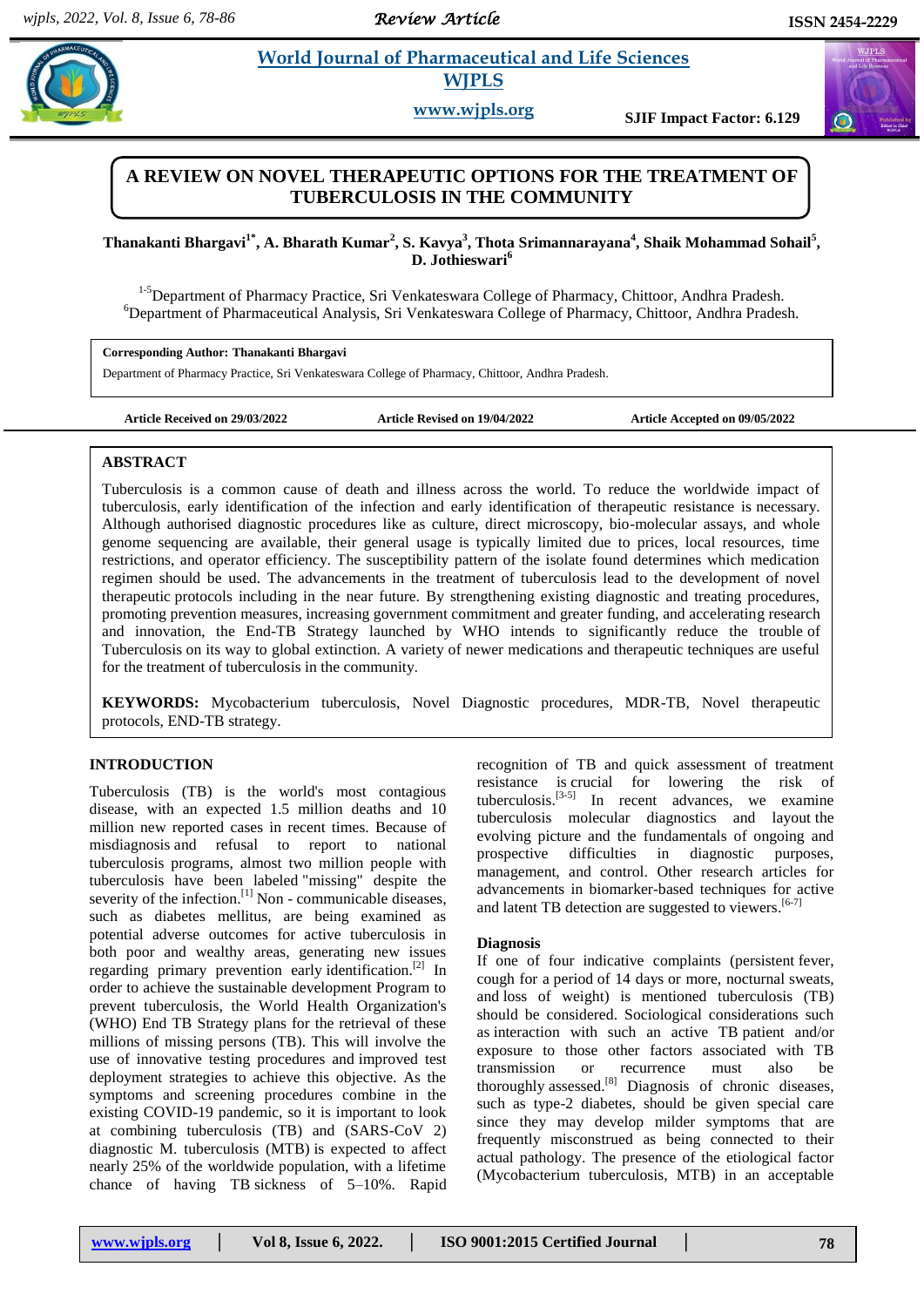*Review Article* 

# **Pharmaceutical and Life Sciences WJPLS**

**www.wjpls.org SJIF Impact Factor: 6.129**

# **A REVIEW ON NOVEL THERAPEUTIC OPTIONS FOR THE TREATMENT OF TUBERCULOSIS IN THE COMMUNITY**

**Thanakanti Bhargavi1\*, A. Bharath Kumar<sup>2</sup> , S. Kavya<sup>3</sup> , Thota Srimannarayana<sup>4</sup> , Shaik Mohammad Sohail<sup>5</sup> , D. Jothieswari<sup>6</sup>**

<sup>1-5</sup>Department of Pharmacy Practice, Sri Venkateswara College of Pharmacy, Chittoor, Andhra Pradesh. <sup>6</sup>Department of Pharmaceutical Analysis, Sri Venkateswara College of Pharmacy, Chittoor, Andhra Pradesh.

**Corresponding Author: Thanakanti Bhargavi**

Department of Pharmacy Practice, Sri Venkateswara College of Pharmacy, Chittoor, Andhra Pradesh.

**Article Received on 29/03/2022 Article Revised on 19/04/2022 Article Accepted on 09/05/2022**

# **ABSTRACT**

Tuberculosis is a common cause of death and illness across the world. To reduce the worldwide impact of tuberculosis, early identification of the infection and early identification of therapeutic resistance is necessary. Although authorised diagnostic procedures like as culture, direct microscopy, bio-molecular assays, and whole genome sequencing are available, their general usage is typically limited due to prices, local resources, time restrictions, and operator efficiency. The susceptibility pattern of the isolate found determines which medication regimen should be used. The advancements in the treatment of tuberculosis lead to the development of novel therapeutic protocols including in the near future. By strengthening existing diagnostic and treating procedures, promoting prevention measures, increasing government commitment and greater funding, and accelerating research and innovation, the End-TB Strategy launched by WHO intends to significantly reduce the trouble of Tuberculosis on its way to global extinction. A variety of newer medications and therapeutic techniques are useful for the treatment of tuberculosis in the community.

**KEYWORDS:** Mycobacterium tuberculosis, Novel Diagnostic procedures, MDR-TB, Novel therapeutic protocols, END-TB strategy.

# **INTRODUCTION**

Tuberculosis (TB) is the world's most contagious disease, with an expected 1.5 million deaths and 10 million new reported cases in recent times. Because of misdiagnosis and refusal to report to national tuberculosis programs, almost two million people with tuberculosis have been labeled "missing" despite the severity of the infection.<sup>[1]</sup> Non - communicable diseases, such as diabetes mellitus, are being examined as potential adverse outcomes for active tuberculosis in both poor and wealthy areas, generating new issues regarding primary prevention early identification.<sup>[2]</sup> In order to achieve the sustainable development Program to prevent tuberculosis, the World Health Organization's (WHO) End TB Strategy plans for the retrieval of these millions of missing persons (TB). This will involve the use of innovative testing procedures and improved test deployment strategies to achieve this objective. As the symptoms and screening procedures combine in the existing COVID-19 pandemic, so it is important to look at combining tuberculosis (TB) and (SARS-CoV 2) diagnostic M. tuberculosis (MTB) is expected to affect nearly 25% of the worldwide population, with a lifetime chance of having TB sickness of 5–10%. Rapid recognition of TB and quick assessment of treatment resistance is crucial for lowering the risk of tuberculosis. $[3-5]$  In recent advances, we examine tuberculosis molecular diagnostics and layout the evolving picture and the fundamentals of ongoing and prospective difficulties in diagnostic purposes, management, and control. Other research articles for advancements in biomarker-based techniques for active and latent TB detection are suggested to viewers.<sup>[6-7]</sup>

# **Diagnosis**

If one of four indicative complaints (persistent fever, cough for a period of 14 days or more, nocturnal sweats, and loss of weight) is mentioned tuberculosis (TB) should be considered. Sociological considerations such as interaction with such an active TB patient and/or exposure to those other factors associated with TB transmission or recurrence must also be thoroughly assessed.<sup>[8]</sup> Diagnosis of chronic diseases, such as type-2 diabetes, should be given special care since they may develop milder symptoms that are frequently misconstrued as being connected to their actual pathology. The presence of the etiological factor (Mycobacterium tuberculosis, MTB) in an acceptable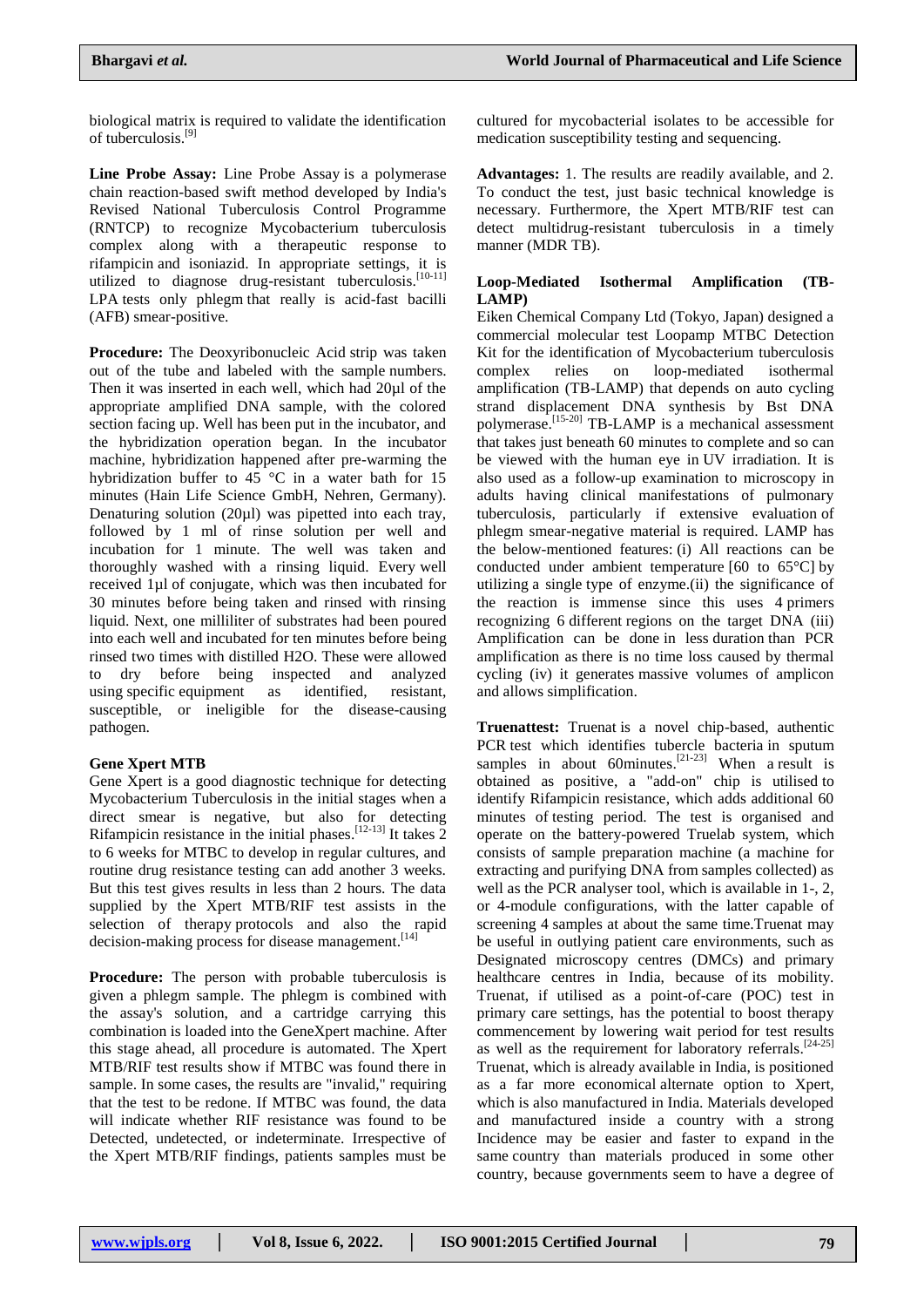biological matrix is required to validate the identification of tuberculosis. [9]

**Line Probe Assay:** Line Probe Assay is a polymerase chain reaction-based swift method developed by India's Revised National Tuberculosis Control Programme (RNTCP) to recognize Mycobacterium tuberculosis complex along with a therapeutic response to rifampicin and isoniazid. In appropriate settings, it is utilized to diagnose drug-resistant tuberculosis.<sup>[10-11]</sup> LPA tests only phlegm that really is acid-fast bacilli (AFB) smear-positive.

**Procedure:** The Deoxyribonucleic Acid strip was taken out of the tube and labeled with the sample numbers. Then it was inserted in each well, which had 20µl of the appropriate amplified DNA sample, with the colored section facing up. Well has been put in the incubator, and the hybridization operation began. In the incubator machine, hybridization happened after pre-warming the hybridization buffer to 45 °C in a water bath for 15 minutes (Hain Life Science GmbH, Nehren, Germany). Denaturing solution (20µl) was pipetted into each tray, followed by 1 ml of rinse solution per well and incubation for 1 minute. The well was taken and thoroughly washed with a rinsing liquid. Every well received 1µl of conjugate, which was then incubated for 30 minutes before being taken and rinsed with rinsing liquid. Next, one milliliter of substrates had been poured into each well and incubated for ten minutes before being rinsed two times with distilled H2O. These were allowed to dry before being inspected and analyzed using specific equipment as identified, resistant, susceptible, or ineligible for the disease-causing pathogen.

# **Gene Xpert MTB**

Gene Xpert is a good diagnostic technique for detecting Mycobacterium Tuberculosis in the initial stages when a direct smear is negative, but also for detecting Rifampicin resistance in the initial phases.  $[12-13]$  It takes 2 to 6 weeks for MTBC to develop in regular cultures, and routine drug resistance testing can add another 3 weeks. But this test gives results in less than 2 hours. The data supplied by the Xpert MTB/RIF test assists in the selection of therapy protocols and also the rapid decision-making process for disease management.<sup>[14]</sup>

**Procedure:** The person with probable tuberculosis is given a phlegm sample. The phlegm is combined with the assay's solution, and a cartridge carrying this combination is loaded into the GeneXpert machine. After this stage ahead, all procedure is automated. The Xpert MTB/RIF test results show if MTBC was found there in sample. In some cases, the results are "invalid," requiring that the test to be redone. If MTBC was found, the data will indicate whether RIF resistance was found to be Detected, undetected, or indeterminate. Irrespective of the Xpert MTB/RIF findings, patients samples must be

cultured for mycobacterial isolates to be accessible for medication susceptibility testing and sequencing.

**Advantages:** 1. The results are readily available, and 2. To conduct the test, just basic technical knowledge is necessary. Furthermore, the Xpert MTB/RIF test can detect multidrug-resistant tuberculosis in a timely manner (MDR TB).

# **Loop-Mediated Isothermal Amplification (TB-LAMP)**

Eiken Chemical Company Ltd (Tokyo, Japan) designed a commercial molecular test Loopamp MTBC Detection Kit for the identification of Mycobacterium tuberculosis complex relies on loop-mediated isothermal amplification (TB-LAMP) that depends on auto cycling strand displacement DNA synthesis by Bst DNA polymerase.<sup>[15-20]</sup> TB-LAMP is a mechanical assessment that takes just beneath 60 minutes to complete and so can be viewed with the human eye in UV irradiation. It is also used as a follow-up examination to microscopy in adults having clinical manifestations of pulmonary tuberculosis, particularly if extensive evaluation of phlegm smear-negative material is required. LAMP has the below-mentioned features: (i) All reactions can be conducted under ambient temperature [60 to 65°C] by utilizing a single type of enzyme.(ii) the significance of the reaction is immense since this uses 4 primers recognizing 6 different regions on the target DNA (iii) Amplification can be done in less duration than PCR amplification as there is no time loss caused by thermal cycling (iv) it generates massive volumes of amplicon and allows simplification.

**Truenattest:** Truenat is a novel chip-based, authentic PCR test which identifies tubercle bacteria in sputum samples in about 60minutes.<sup>[21-23]</sup> When a result is obtained as positive, a "add-on" chip is utilised to identify Rifampicin resistance, which adds additional 60 minutes of testing period. The test is organised and operate on the battery-powered Truelab system, which consists of sample preparation machine (a machine for extracting and purifying DNA from samples collected) as well as the PCR analyser tool, which is available in 1-, 2, or 4-module configurations, with the latter capable of screening 4 samples at about the same time.Truenat may be useful in outlying patient care environments, such as Designated microscopy centres (DMCs) and primary healthcare centres in India, because of its mobility. Truenat, if utilised as a point-of-care (POC) test in primary care settings, has the potential to boost therapy commencement by lowering wait period for test results as well as the requirement for laboratory referrals.<sup>[24-25]</sup> Truenat, which is already available in India, is positioned as a far more economical alternate option to Xpert, which is also manufactured in India. Materials developed and manufactured inside a country with a strong Incidence may be easier and faster to expand in the same country than materials produced in some other country, because governments seem to have a degree of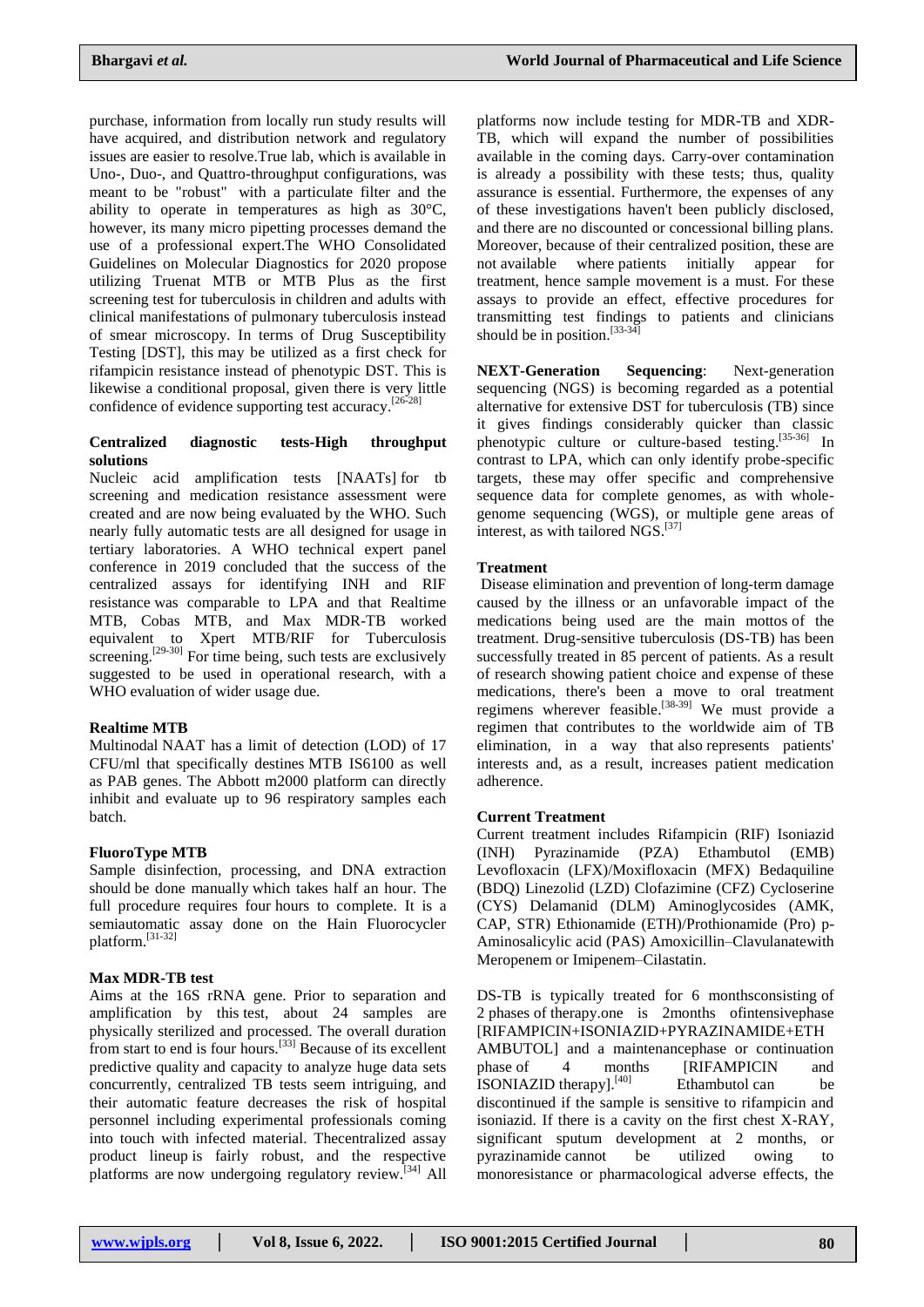purchase, information from locally run study results will have acquired, and distribution network and regulatory issues are easier to resolve.True lab, which is available in Uno-, Duo-, and Quattro-throughput configurations, was meant to be "robust" with a particulate filter and the ability to operate in temperatures as high as 30°C, however, its many micro pipetting processes demand the use of a professional expert.The WHO Consolidated Guidelines on Molecular Diagnostics for 2020 propose utilizing Truenat MTB or MTB Plus as the first screening test for tuberculosis in children and adults with clinical manifestations of pulmonary tuberculosis instead of smear microscopy. In terms of Drug Susceptibility Testing [DST], this may be utilized as a first check for rifampicin resistance instead of phenotypic DST. This is likewise a conditional proposal, given there is very little confidence of evidence supporting test accuracy. [26-28]

# **Centralized diagnostic tests-High throughput solutions**

Nucleic acid amplification tests [NAATs] for tb screening and medication resistance assessment were created and are now being evaluated by the WHO. Such nearly fully automatic tests are all designed for usage in tertiary laboratories. A WHO technical expert panel conference in 2019 concluded that the success of the centralized assays for identifying INH and RIF resistance was comparable to LPA and that Realtime MTB, Cobas MTB, and Max MDR-TB worked equivalent to Xpert MTB/RIF for Tuberculosis screening.<sup>[29-30]</sup> For time being, such tests are exclusively suggested to be used in operational research, with a WHO evaluation of wider usage due.

#### **Realtime MTB**

Multinodal NAAT has a limit of detection (LOD) of 17 CFU/ml that specifically destines MTB IS6100 as well as PAB genes. The Abbott m2000 platform can directly inhibit and evaluate up to 96 respiratory samples each batch.

#### **FluoroType MTB**

Sample disinfection, processing, and DNA extraction should be done manually which takes half an hour. The full procedure requires four hours to complete. It is a semiautomatic assay done on the Hain Fluorocycler platform. [31-32]

# **Max MDR-TB test**

Aims at the 16S rRNA gene. Prior to separation and amplification by this test, about 24 samples are physically sterilized and processed. The overall duration from start to end is four hours.<sup>[33]</sup> Because of its excellent predictive quality and capacity to analyze huge data sets concurrently, centralized TB tests seem intriguing, and their automatic feature decreases the risk of hospital personnel including experimental professionals coming into touch with infected material. Thecentralized assay product lineup is fairly robust, and the respective platforms are now undergoing regulatory review.<sup>[34]</sup> All

platforms now include testing for MDR-TB and XDR-TB, which will expand the number of possibilities available in the coming days. Carry-over contamination is already a possibility with these tests; thus, quality assurance is essential. Furthermore, the expenses of any of these investigations haven't been publicly disclosed, and there are no discounted or concessional billing plans. Moreover, because of their centralized position, these are not available where patients initially appear for treatment, hence sample movement is a must. For these assays to provide an effect, effective procedures for transmitting test findings to patients and clinicians should be in position.  $[33-34]$ 

**NEXT-Generation Sequencing**: Next-generation sequencing (NGS) is becoming regarded as a potential alternative for extensive DST for tuberculosis (TB) since it gives findings considerably quicker than classic phenotypic culture or culture-based testing.<sup>[35-36]</sup> In contrast to LPA, which can only identify probe-specific targets, these may offer specific and comprehensive sequence data for complete genomes, as with wholegenome sequencing (WGS), or multiple gene areas of interest, as with tailored NGS. [37]

# **Treatment**

Disease elimination and prevention of long-term damage caused by the illness or an unfavorable impact of the medications being used are the main mottos of the treatment. Drug-sensitive tuberculosis (DS-TB) has been successfully treated in 85 percent of patients. As a result of research showing patient choice and expense of these medications, there's been a move to oral treatment regimens wherever feasible.<sup>[38-39]</sup> We must provide a regimen that contributes to the worldwide aim of TB elimination, in a way that also represents patients' interests and, as a result, increases patient medication adherence.

#### **Current Treatment**

Current treatment includes Rifampicin (RIF) Isoniazid (INH) Pyrazinamide (PZA) Ethambutol (EMB) Levofloxacin (LFX)/Moxifloxacin (MFX) Bedaquiline (BDQ) Linezolid (LZD) Clofazimine (CFZ) Cycloserine (CYS) Delamanid (DLM) Aminoglycosides (AMK, CAP, STR) Ethionamide (ETH)/Prothionamide (Pro) p-Aminosalicylic acid (PAS) Amoxicillin–Clavulanatewith Meropenem or Imipenem–Cilastatin.

DS-TB is typically treated for 6 monthsconsisting of 2 phases of therapy.one is 2months ofintensivephase [RIFAMPICIN+ISONIAZID+PYRAZINAMIDE+ETH AMBUTOL] and a maintenancephase or continuation phase of 4 months [RIFAMPICIN and ISONIAZID therapy].<sup>[40]</sup> Ethambutol can be discontinued if the sample is sensitive to rifampicin and isoniazid. If there is a cavity on the first chest X-RAY, significant sputum development at 2 months, or pyrazinamide cannot be utilized owing to monoresistance or pharmacological adverse effects, the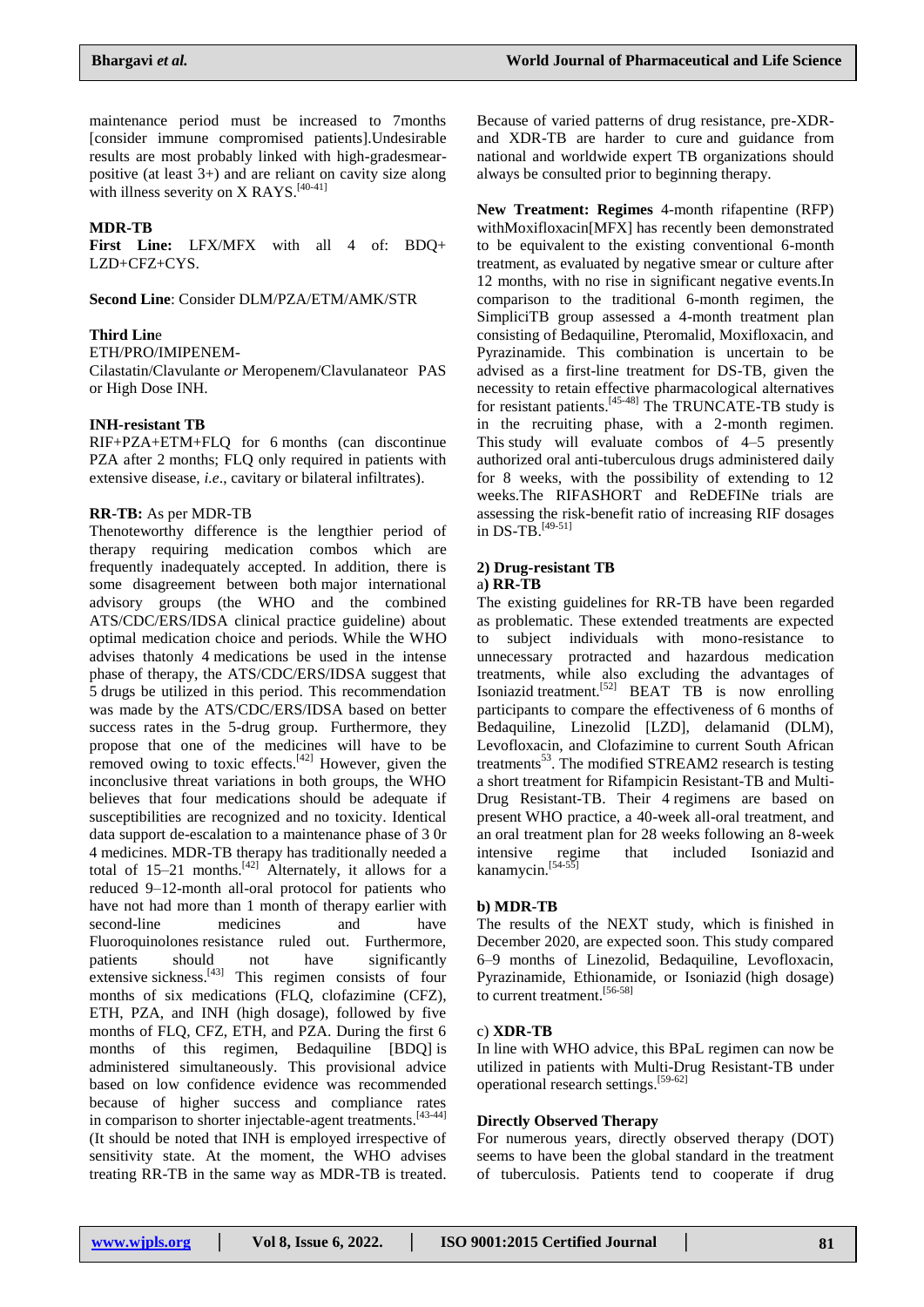maintenance period must be increased to 7months [consider immune compromised patients].Undesirable results are most probably linked with high-gradesmearpositive (at least 3+) and are reliant on cavity size along with illness severity on X RAYS.<sup>[40-41]</sup>

# **MDR-TB**

**First Line:** LFX/MFX with all 4 of: BDQ+ LZD+CFZ+CYS.

**Second Line**: Consider DLM/PZA/ETM/AMK/STR

#### **Third Lin**e

ETH/PRO/IMIPENEM-

Cilastatin/Clavulante *or* Meropenem/Clavulanateor PAS or High Dose INH.

#### **INH-resistant TB**

RIF+PZA+ETM+FLQ for 6 months (can discontinue PZA after 2 months; FLQ only required in patients with extensive disease, *i.e*., cavitary or bilateral infiltrates).

#### **RR-TB:** As per MDR-TB

Thenoteworthy difference is the lengthier period of therapy requiring medication combos which are frequently inadequately accepted. In addition, there is some disagreement between both major international advisory groups (the WHO and the combined ATS/CDC/ERS/IDSA clinical practice guideline) about optimal medication choice and periods. While the WHO advises thatonly 4 medications be used in the intense phase of therapy, the ATS/CDC/ERS/IDSA suggest that 5 drugs be utilized in this period. This recommendation was made by the ATS/CDC/ERS/IDSA based on better success rates in the 5-drug group. Furthermore, they propose that one of the medicines will have to be removed owing to toxic effects.<sup>[42]</sup> However, given the inconclusive threat variations in both groups, the WHO believes that four medications should be adequate if susceptibilities are recognized and no toxicity. Identical data support de-escalation to a maintenance phase of 3 0r 4 medicines. MDR-TB therapy has traditionally needed a total of  $15-21$  months.<sup>[42]</sup> Alternately, it allows for a reduced 9–12-month all-oral protocol for patients who have not had more than 1 month of therapy earlier with second-line medicines and have Fluoroquinolones resistance ruled out. Furthermore, patients should not have significantly extensive sickness. $[43]$  This regimen consists of four months of six medications (FLQ, clofazimine (CFZ), ETH, PZA, and INH (high dosage), followed by five months of FLQ, CFZ, ETH, and PZA. During the first 6 months of this regimen, Bedaquiline [BDQ] is administered simultaneously. This provisional advice based on low confidence evidence was recommended because of higher success and compliance rates in comparison to shorter injectable-agent treatments.<sup>[43-44]</sup> (It should be noted that INH is employed irrespective of sensitivity state. At the moment, the WHO advises treating RR-TB in the same way as MDR-TB is treated.

Because of varied patterns of drug resistance, pre-XDRand XDR-TB are harder to cure and guidance from national and worldwide expert TB organizations should always be consulted prior to beginning therapy.

**New Treatment: Regimes** 4-month rifapentine (RFP) withMoxifloxacin[MFX] has recently been demonstrated to be equivalent to the existing conventional 6-month treatment, as evaluated by negative smear or culture after 12 months, with no rise in significant negative events.In comparison to the traditional 6-month regimen, the SimpliciTB group assessed a 4-month treatment plan consisting of Bedaquiline, Pteromalid, Moxifloxacin, and Pyrazinamide. This combination is uncertain to be advised as a first-line treatment for DS-TB, given the necessity to retain effective pharmacological alternatives for resistant patients.<sup>[45-48]</sup> The TRUNCATE-TB study is in the recruiting phase, with a 2-month regimen. This study will evaluate combos of 4–5 presently authorized oral anti-tuberculous drugs administered daily for 8 weeks, with the possibility of extending to 12 weeks.The RIFASHORT and ReDEFINe trials are assessing the risk-benefit ratio of increasing RIF dosages in DS-TB. [49-51]

# **2) Drug-resistant TB**

# a**) RR-TB**

The existing guidelines for RR-TB have been regarded as problematic. These extended treatments are expected to subject individuals with mono-resistance to unnecessary protracted and hazardous medication treatments, while also excluding the advantages of Isoniazid treatment.<sup>[52]</sup> BEAT TB is now enrolling participants to compare the effectiveness of 6 months of Bedaquiline, Linezolid [LZD], delamanid (DLM), Levofloxacin, and Clofazimine to current South African treatments<sup>53</sup>. The modified STREAM2 research is testing a short treatment for Rifampicin Resistant-TB and Multi-Drug Resistant-TB. Their 4 regimens are based on present WHO practice, a 40-week all-oral treatment, and an oral treatment plan for 28 weeks following an 8-week intensive regime that included Isoniazid and kanamycin. $[54-55]$ 

#### **b) MDR-TB**

The results of the NEXT study, which is finished in December 2020, are expected soon. This study compared 6–9 months of Linezolid, Bedaquiline, Levofloxacin, Pyrazinamide, Ethionamide, or Isoniazid (high dosage) to current treatment. [56-58]

#### c) **XDR-TB**

In line with WHO advice, this BPaL regimen can now be utilized in patients with Multi-Drug Resistant-TB under operational research settings. [59-62]

#### **Directly Observed Therapy**

For numerous years, directly observed therapy (DOT) seems to have been the global standard in the treatment of tuberculosis. Patients tend to cooperate if drug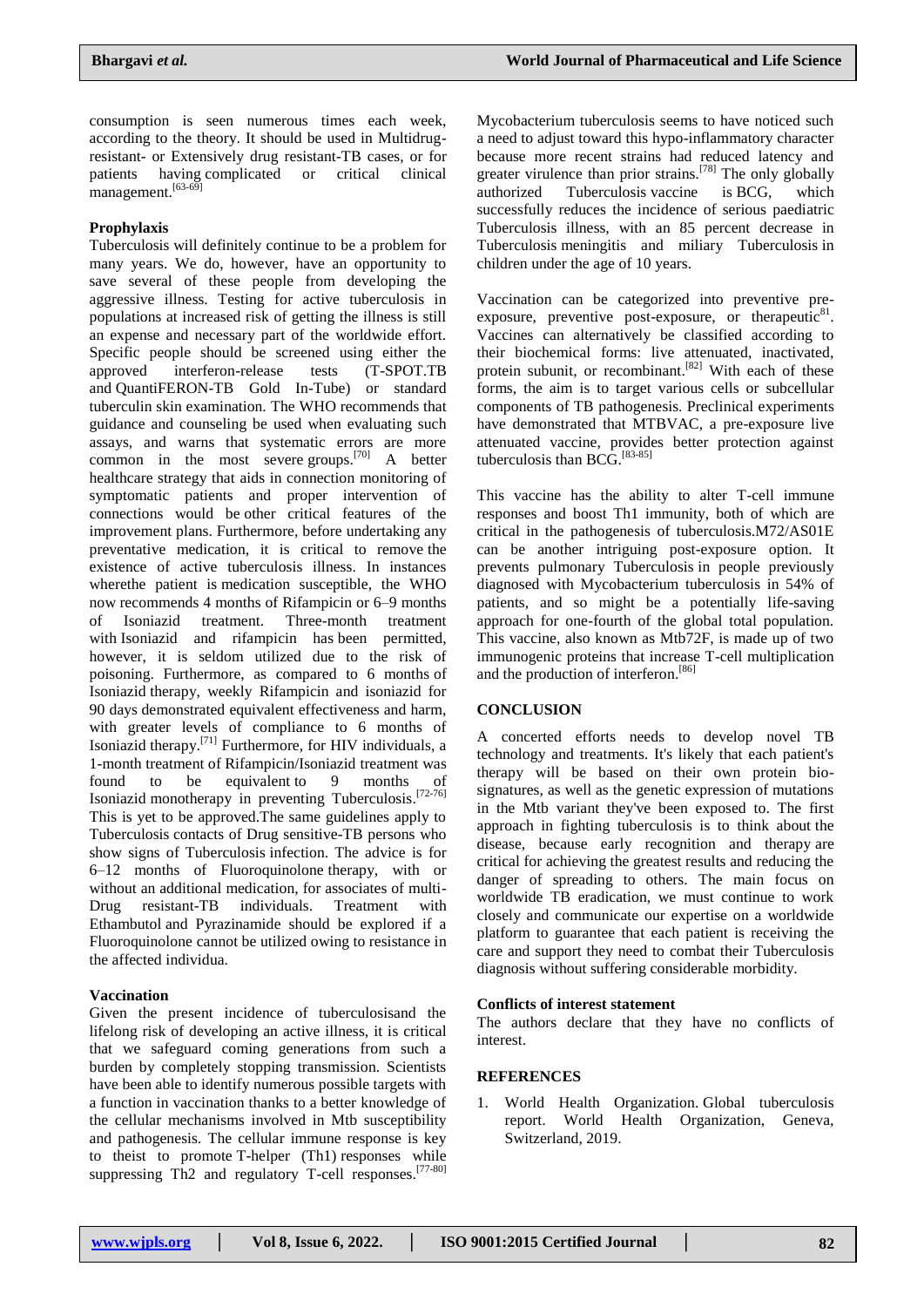consumption is seen numerous times each week, according to the theory. It should be used in Multidrugresistant- or Extensively drug resistant-TB cases, or for patients having complicated or critical clinical management.<sup>[63-69]</sup>

# **Prophylaxis**

Tuberculosis will definitely continue to be a problem for many years. We do, however, have an opportunity to save several of these people from developing the aggressive illness. Testing for active tuberculosis in populations at increased risk of getting the illness is still an expense and necessary part of the worldwide effort. Specific people should be screened using either the approved interferon-release tests (T-SPOT.TB and QuantiFERON-TB Gold In-Tube) or standard tuberculin skin examination. The WHO recommends that guidance and counseling be used when evaluating such assays, and warns that systematic errors are more common in the most severe groups.<sup>[70]</sup> A better healthcare strategy that aids in connection monitoring of symptomatic patients and proper intervention of connections would be other critical features of the improvement plans. Furthermore, before undertaking any preventative medication, it is critical to remove the existence of active tuberculosis illness. In instances wherethe patient is medication susceptible, the WHO now recommends 4 months of Rifampicin or 6–9 months of Isoniazid treatment. Three-month treatment with Isoniazid and rifampicin has been permitted, however, it is seldom utilized due to the risk of poisoning. Furthermore, as compared to 6 months of Isoniazid therapy, weekly Rifampicin and isoniazid for 90 days demonstrated equivalent effectiveness and harm, with greater levels of compliance to 6 months of Isoniazid therapy.<sup>[71]</sup> Furthermore, for HIV individuals, a 1-month treatment of Rifampicin/Isoniazid treatment was found to be equivalent to 9 months of Isoniazid monotherapy in preventing Tuberculosis.<sup>[72-76]</sup> This is yet to be approved.The same guidelines apply to Tuberculosis contacts of Drug sensitive-TB persons who show signs of Tuberculosis infection. The advice is for 6–12 months of Fluoroquinolone therapy, with or without an additional medication, for associates of multi-Drug resistant-TB individuals. Treatment with Ethambutol and Pyrazinamide should be explored if a Fluoroquinolone cannot be utilized owing to resistance in the affected individua.

# **Vaccination**

Given the present incidence of tuberculosisand the lifelong risk of developing an active illness, it is critical that we safeguard coming generations from such a burden by completely stopping transmission. Scientists have been able to identify numerous possible targets with a function in vaccination thanks to a better knowledge of the cellular mechanisms involved in Mtb susceptibility and pathogenesis. The cellular immune response is key to theist to promote T-helper (Th1) responses while suppressing Th2 and regulatory T-cell responses.<sup>[77-80]</sup>

Mycobacterium tuberculosis seems to have noticed such a need to adjust toward this hypo-inflammatory character because more recent strains had reduced latency and greater virulence than prior strains.<sup>[78]</sup> The only globally authorized Tuberculosis vaccine is BCG, which successfully reduces the incidence of serious paediatric Tuberculosis illness, with an 85 percent decrease in Tuberculosis meningitis and miliary Tuberculosis in children under the age of 10 years.

Vaccination can be categorized into preventive preexposure, preventive post-exposure, or therapeutic $81$ . Vaccines can alternatively be classified according to their biochemical forms: live attenuated, inactivated, protein subunit, or recombinant.<sup>[82]</sup> With each of these forms, the aim is to target various cells or subcellular components of TB pathogenesis. Preclinical experiments have demonstrated that MTBVAC, a pre-exposure live attenuated vaccine, provides better protection against tuberculosis than BCG. [83-85]

This vaccine has the ability to alter T-cell immune responses and boost Th1 immunity, both of which are critical in the pathogenesis of tuberculosis.M72/AS01E can be another intriguing post-exposure option. It prevents pulmonary Tuberculosis in people previously diagnosed with Mycobacterium tuberculosis in 54% of patients, and so might be a potentially life-saving approach for one-fourth of the global total population. This vaccine, also known as Mtb72F, is made up of two immunogenic proteins that increase T-cell multiplication and the production of interferon. [86]

# **CONCLUSION**

A concerted efforts needs to develop novel TB technology and treatments. It's likely that each patient's therapy will be based on their own protein biosignatures, as well as the genetic expression of mutations in the Mtb variant they've been exposed to. The first approach in fighting tuberculosis is to think about the disease, because early recognition and therapy are critical for achieving the greatest results and reducing the danger of spreading to others. The main focus on worldwide TB eradication, we must continue to work closely and communicate our expertise on a worldwide platform to guarantee that each patient is receiving the care and support they need to combat their Tuberculosis diagnosis without suffering considerable morbidity.

#### **Conflicts of interest statement**

The authors declare that they have no conflicts of interest.

# **REFERENCES**

1. World Health Organization. Global tuberculosis report. World Health Organization, Geneva, Switzerland, 2019.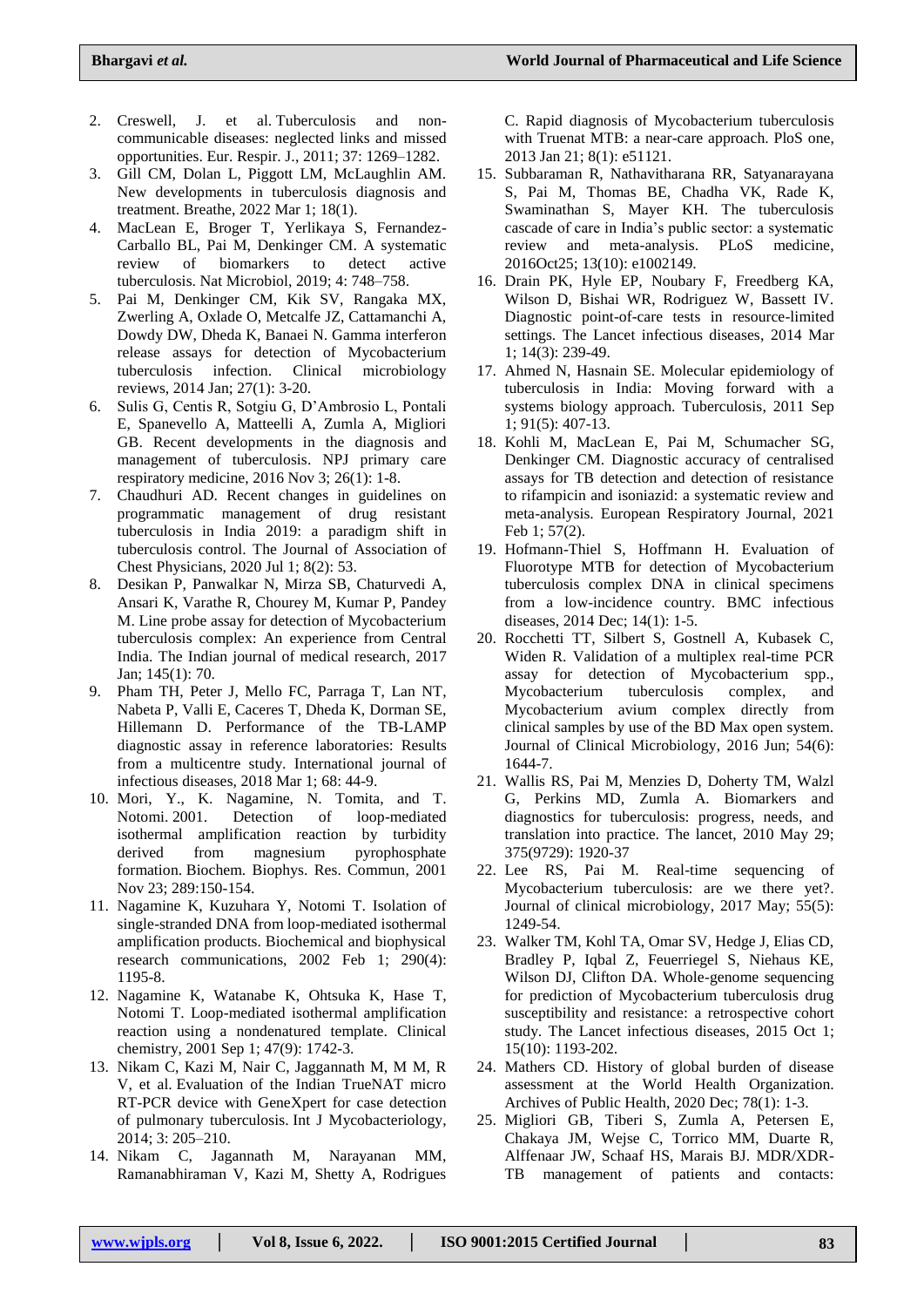- 2. Creswell, J. et al. Tuberculosis and noncommunicable diseases: neglected links and missed opportunities. Eur. Respir. J., 2011; 37: 1269–1282.
- 3. Gill CM, Dolan L, Piggott LM, McLaughlin AM. New developments in tuberculosis diagnosis and treatment. Breathe, 2022 Mar 1; 18(1).
- 4. MacLean E, Broger T, Yerlikaya S, Fernandez-Carballo BL, Pai M, Denkinger CM. A systematic review of biomarkers to detect active tuberculosis. Nat Microbiol, 2019; 4: 748–758.
- 5. Pai M, Denkinger CM, Kik SV, Rangaka MX, Zwerling A, Oxlade O, Metcalfe JZ, Cattamanchi A, Dowdy DW, Dheda K, Banaei N. Gamma interferon release assays for detection of Mycobacterium tuberculosis infection. Clinical microbiology reviews, 2014 Jan; 27(1): 3-20.
- 6. Sulis G, Centis R, Sotgiu G, D'Ambrosio L, Pontali E, Spanevello A, Matteelli A, Zumla A, Migliori GB. Recent developments in the diagnosis and management of tuberculosis. NPJ primary care respiratory medicine, 2016 Nov 3; 26(1): 1-8.
- 7. Chaudhuri AD. Recent changes in guidelines on programmatic management of drug resistant tuberculosis in India 2019: a paradigm shift in tuberculosis control. The Journal of Association of Chest Physicians, 2020 Jul 1; 8(2): 53.
- 8. Desikan P, Panwalkar N, Mirza SB, Chaturvedi A, Ansari K, Varathe R, Chourey M, Kumar P, Pandey M. Line probe assay for detection of Mycobacterium tuberculosis complex: An experience from Central India. The Indian journal of medical research, 2017 Jan; 145(1): 70.
- 9. Pham TH, Peter J, Mello FC, Parraga T, Lan NT, Nabeta P, Valli E, Caceres T, Dheda K, Dorman SE, Hillemann D. Performance of the TB-LAMP diagnostic assay in reference laboratories: Results from a multicentre study. International journal of infectious diseases, 2018 Mar 1; 68: 44-9.
- 10. Mori, Y., K. Nagamine, N. Tomita, and T. Notomi. 2001. Detection of loop-mediated isothermal amplification reaction by turbidity derived from magnesium pyrophosphate formation. Biochem. Biophys. Res. Commun, 2001 Nov 23; 289:150-154.
- 11. Nagamine K, Kuzuhara Y, Notomi T. Isolation of single-stranded DNA from loop-mediated isothermal amplification products. Biochemical and biophysical research communications, 2002 Feb 1; 290(4): 1195-8.
- 12. Nagamine K, Watanabe K, Ohtsuka K, Hase T, Notomi T. Loop-mediated isothermal amplification reaction using a nondenatured template. Clinical chemistry, 2001 Sep 1; 47(9): 1742-3.
- 13. Nikam C, Kazi M, Nair C, Jaggannath M, M M, R V, et al. Evaluation of the Indian TrueNAT micro RT-PCR device with GeneXpert for case detection of pulmonary tuberculosis. Int J Mycobacteriology, 2014; 3: 205–210.
- 14. Nikam C, Jagannath M, Narayanan MM, Ramanabhiraman V, Kazi M, Shetty A, Rodrigues

C. Rapid diagnosis of Mycobacterium tuberculosis with Truenat MTB: a near-care approach. PloS one, 2013 Jan 21; 8(1): e51121.

- 15. Subbaraman R, Nathavitharana RR, Satyanarayana S, Pai M, Thomas BE, Chadha VK, Rade K, Swaminathan S, Mayer KH. The tuberculosis cascade of care in India's public sector: a systematic review and meta-analysis. PLoS medicine, 2016Oct25; 13(10): e1002149.
- 16. Drain PK, Hyle EP, Noubary F, Freedberg KA, Wilson D, Bishai WR, Rodriguez W, Bassett IV. Diagnostic point-of-care tests in resource-limited settings. The Lancet infectious diseases, 2014 Mar 1; 14(3): 239-49.
- 17. Ahmed N, Hasnain SE. Molecular epidemiology of tuberculosis in India: Moving forward with a systems biology approach. Tuberculosis, 2011 Sep 1; 91(5): 407-13.
- 18. Kohli M, MacLean E, Pai M, Schumacher SG, Denkinger CM. Diagnostic accuracy of centralised assays for TB detection and detection of resistance to rifampicin and isoniazid: a systematic review and meta-analysis. European Respiratory Journal, 2021 Feb 1; 57(2).
- 19. Hofmann-Thiel S, Hoffmann H. Evaluation of Fluorotype MTB for detection of Mycobacterium tuberculosis complex DNA in clinical specimens from a low-incidence country. BMC infectious diseases, 2014 Dec; 14(1): 1-5.
- 20. Rocchetti TT, Silbert S, Gostnell A, Kubasek C, Widen R. Validation of a multiplex real-time PCR assay for detection of Mycobacterium spp., Mycobacterium tuberculosis complex, and Mycobacterium avium complex directly from clinical samples by use of the BD Max open system. Journal of Clinical Microbiology, 2016 Jun; 54(6): 1644-7.
- 21. Wallis RS, Pai M, Menzies D, Doherty TM, Walzl G, Perkins MD, Zumla A. Biomarkers and diagnostics for tuberculosis: progress, needs, and translation into practice. The lancet, 2010 May 29; 375(9729): 1920-37
- 22. Lee RS, Pai M. Real-time sequencing of Mycobacterium tuberculosis: are we there yet?. Journal of clinical microbiology, 2017 May; 55(5): 1249-54.
- 23. Walker TM, Kohl TA, Omar SV, Hedge J, Elias CD, Bradley P, Iqbal Z, Feuerriegel S, Niehaus KE, Wilson DJ, Clifton DA. Whole-genome sequencing for prediction of Mycobacterium tuberculosis drug susceptibility and resistance: a retrospective cohort study. The Lancet infectious diseases, 2015 Oct 1; 15(10): 1193-202.
- 24. Mathers CD. History of global burden of disease assessment at the World Health Organization. Archives of Public Health, 2020 Dec; 78(1): 1-3.
- 25. Migliori GB, Tiberi S, Zumla A, Petersen E, Chakaya JM, Wejse C, Torrico MM, Duarte R, Alffenaar JW, Schaaf HS, Marais BJ. MDR/XDR-TB management of patients and contacts: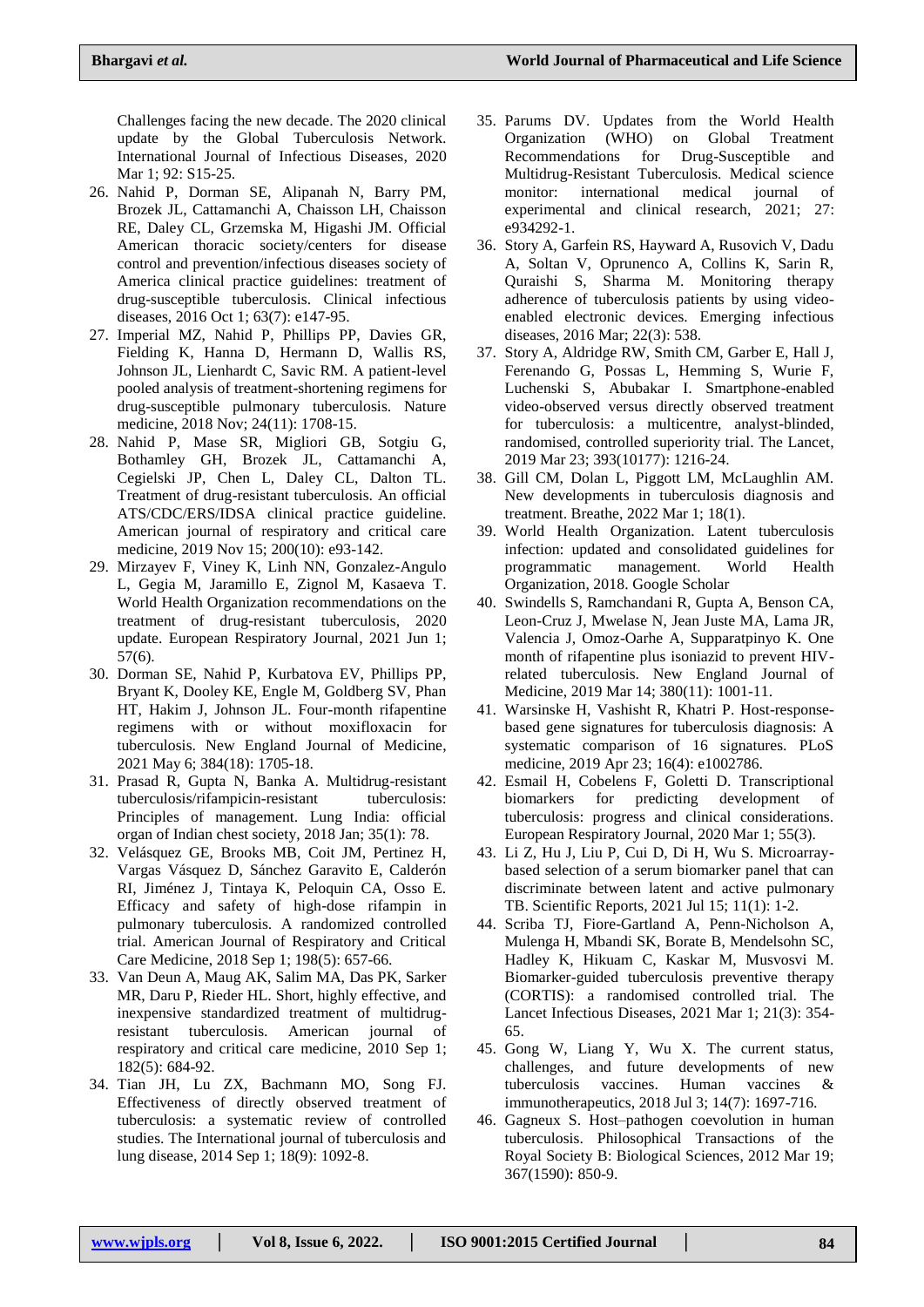Challenges facing the new decade. The 2020 clinical update by the Global Tuberculosis Network. International Journal of Infectious Diseases, 2020 Mar 1; 92: S15-25.

- 26. Nahid P, Dorman SE, Alipanah N, Barry PM, Brozek JL, Cattamanchi A, Chaisson LH, Chaisson RE, Daley CL, Grzemska M, Higashi JM. Official American thoracic society/centers for disease control and prevention/infectious diseases society of America clinical practice guidelines: treatment of drug-susceptible tuberculosis. Clinical infectious diseases, 2016 Oct 1; 63(7): e147-95.
- 27. Imperial MZ, Nahid P, Phillips PP, Davies GR, Fielding K, Hanna D, Hermann D, Wallis RS, Johnson JL, Lienhardt C, Savic RM. A patient-level pooled analysis of treatment-shortening regimens for drug-susceptible pulmonary tuberculosis. Nature medicine, 2018 Nov; 24(11): 1708-15.
- 28. Nahid P, Mase SR, Migliori GB, Sotgiu G, Bothamley GH, Brozek JL, Cattamanchi A, Cegielski JP, Chen L, Daley CL, Dalton TL. Treatment of drug-resistant tuberculosis. An official ATS/CDC/ERS/IDSA clinical practice guideline. American journal of respiratory and critical care medicine, 2019 Nov 15; 200(10): e93-142.
- 29. Mirzayev F, Viney K, Linh NN, Gonzalez-Angulo L, Gegia M, Jaramillo E, Zignol M, Kasaeva T. World Health Organization recommendations on the treatment of drug-resistant tuberculosis, 2020 update. European Respiratory Journal, 2021 Jun 1; 57(6).
- 30. Dorman SE, Nahid P, Kurbatova EV, Phillips PP, Bryant K, Dooley KE, Engle M, Goldberg SV, Phan HT, Hakim J, Johnson JL. Four-month rifapentine regimens with or without moxifloxacin for tuberculosis. New England Journal of Medicine, 2021 May 6; 384(18): 1705-18.
- 31. Prasad R, Gupta N, Banka A. Multidrug-resistant tuberculosis/rifampicin-resistant tuberculosis: Principles of management. Lung India: official organ of Indian chest society, 2018 Jan; 35(1): 78.
- 32. Velásquez GE, Brooks MB, Coit JM, Pertinez H, Vargas Vásquez D, Sánchez Garavito E, Calderón RI, Jiménez J, Tintaya K, Peloquin CA, Osso E. Efficacy and safety of high-dose rifampin in pulmonary tuberculosis. A randomized controlled trial. American Journal of Respiratory and Critical Care Medicine, 2018 Sep 1; 198(5): 657-66.
- 33. Van Deun A, Maug AK, Salim MA, Das PK, Sarker MR, Daru P, Rieder HL. Short, highly effective, and inexpensive standardized treatment of multidrugresistant tuberculosis. American journal of respiratory and critical care medicine, 2010 Sep 1; 182(5): 684-92.
- 34. Tian JH, Lu ZX, Bachmann MO, Song FJ. Effectiveness of directly observed treatment of tuberculosis: a systematic review of controlled studies. The International journal of tuberculosis and lung disease, 2014 Sep 1; 18(9): 1092-8.
- 35. Parums DV. Updates from the World Health Organization (WHO) on Global Treatment Recommendations for Drug-Susceptible and Multidrug-Resistant Tuberculosis. Medical science monitor: international medical journal of experimental and clinical research, 2021; 27: e934292-1.
- 36. Story A, Garfein RS, Hayward A, Rusovich V, Dadu A, Soltan V, Oprunenco A, Collins K, Sarin R, Quraishi S, Sharma M. Monitoring therapy adherence of tuberculosis patients by using videoenabled electronic devices. Emerging infectious diseases, 2016 Mar; 22(3): 538.
- 37. Story A, Aldridge RW, Smith CM, Garber E, Hall J, Ferenando G, Possas L, Hemming S, Wurie F, Luchenski S, Abubakar I. Smartphone-enabled video-observed versus directly observed treatment for tuberculosis: a multicentre, analyst-blinded, randomised, controlled superiority trial. The Lancet, 2019 Mar 23; 393(10177): 1216-24.
- 38. Gill CM, Dolan L, Piggott LM, McLaughlin AM. New developments in tuberculosis diagnosis and treatment. Breathe, 2022 Mar 1; 18(1).
- 39. World Health Organization. Latent tuberculosis infection: updated and consolidated guidelines for programmatic management. World Health Organization, 2018. Google [Scholar](https://breathe.ersjournals.com/lookup/google-scholar?link_type=googlescholar&gs_type=article&q_txt=.+Latent+tuberculosis+infection%3A+updated+and+consolidated+guidelines+for+programmatic+management.+Geneva%2C+World+Health+Organisation%2C+2018.)
- 40. Swindells S, Ramchandani R, Gupta A, Benson CA, Leon-Cruz J, Mwelase N, Jean Juste MA, Lama JR, Valencia J, Omoz-Oarhe A, Supparatpinyo K. One month of rifapentine plus isoniazid to prevent HIVrelated tuberculosis. New England Journal of Medicine, 2019 Mar 14; 380(11): 1001-11.
- 41. Warsinske H, Vashisht R, Khatri P. Host-responsebased gene signatures for tuberculosis diagnosis: A systematic comparison of 16 signatures. PLoS medicine, 2019 Apr 23; 16(4): e1002786.
- 42. Esmail H, Cobelens F, Goletti D. Transcriptional biomarkers for predicting development of tuberculosis: progress and clinical considerations. European Respiratory Journal, 2020 Mar 1; 55(3).
- 43. Li Z, Hu J, Liu P, Cui D, Di H, Wu S. Microarraybased selection of a serum biomarker panel that can discriminate between latent and active pulmonary TB. Scientific Reports, 2021 Jul 15; 11(1): 1-2.
- 44. Scriba TJ, Fiore-Gartland A, Penn-Nicholson A, Mulenga H, Mbandi SK, Borate B, Mendelsohn SC, Hadley K, Hikuam C, Kaskar M, Musvosvi M. Biomarker-guided tuberculosis preventive therapy (CORTIS): a randomised controlled trial. The Lancet Infectious Diseases, 2021 Mar 1; 21(3): 354- 65.
- 45. Gong W, Liang Y, Wu X. The current status, challenges, and future developments of new tuberculosis vaccines. Human vaccines & immunotherapeutics, 2018 Jul 3; 14(7): 1697-716.
- 46. Gagneux S. Host–pathogen coevolution in human tuberculosis. Philosophical Transactions of the Royal Society B: Biological Sciences, 2012 Mar 19; 367(1590): 850-9.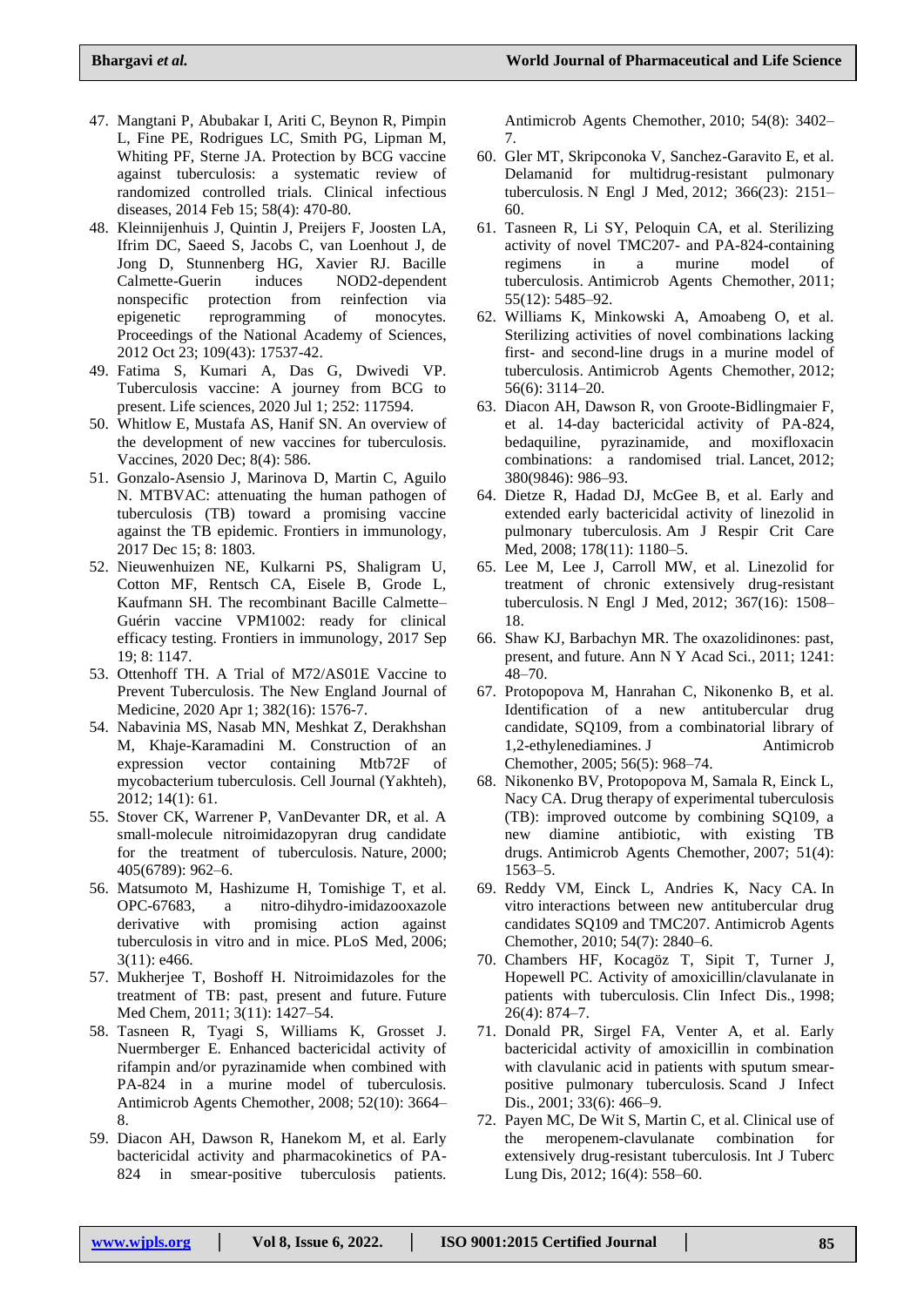- 47. Mangtani P, Abubakar I, Ariti C, Beynon R, Pimpin L, Fine PE, Rodrigues LC, Smith PG, Lipman M, Whiting PF, Sterne JA. Protection by BCG vaccine against tuberculosis: a systematic review of randomized controlled trials. Clinical infectious diseases, 2014 Feb 15; 58(4): 470-80.
- 48. Kleinnijenhuis J, Quintin J, Preijers F, Joosten LA, Ifrim DC, Saeed S, Jacobs C, van Loenhout J, de Jong D, Stunnenberg HG, Xavier RJ. Bacille Calmette-Guerin induces NOD2-dependent nonspecific protection from reinfection via epigenetic reprogramming of monocytes. Proceedings of the National Academy of Sciences, 2012 Oct 23; 109(43): 17537-42.
- 49. Fatima S, Kumari A, Das G, Dwivedi VP. Tuberculosis vaccine: A journey from BCG to present. Life sciences, 2020 Jul 1; 252: 117594.
- 50. Whitlow E, Mustafa AS, Hanif SN. An overview of the development of new vaccines for tuberculosis. Vaccines, 2020 Dec; 8(4): 586.
- 51. Gonzalo-Asensio J, Marinova D, Martin C, Aguilo N. MTBVAC: attenuating the human pathogen of tuberculosis (TB) toward a promising vaccine against the TB epidemic. Frontiers in immunology, 2017 Dec 15; 8: 1803.
- 52. Nieuwenhuizen NE, Kulkarni PS, Shaligram U, Cotton MF, Rentsch CA, Eisele B, Grode L, Kaufmann SH. The recombinant Bacille Calmette– Guérin vaccine VPM1002: ready for clinical efficacy testing. Frontiers in immunology, 2017 Sep 19; 8: 1147.
- 53. Ottenhoff TH. A Trial of M72/AS01E Vaccine to Prevent Tuberculosis. The New England Journal of Medicine, 2020 Apr 1; 382(16): 1576-7.
- 54. Nabavinia MS, Nasab MN, Meshkat Z, Derakhshan M, Khaje-Karamadini M. Construction of an expression vector containing Mtb72F of mycobacterium tuberculosis. Cell Journal (Yakhteh), 2012; 14(1): 61.
- 55. Stover CK, Warrener P, VanDevanter DR, et al. A small-molecule nitroimidazopyran drug candidate for the treatment of tuberculosis. Nature, 2000; 405(6789): 962–6.
- 56. Matsumoto M, Hashizume H, Tomishige T, et al. OPC-67683, a nitro-dihydro-imidazooxazole derivative with promising action against tuberculosis in vitro and in mice. PLoS Med, 2006; 3(11): e466.
- 57. Mukherjee T, Boshoff H. Nitroimidazoles for the treatment of TB: past, present and future. Future Med Chem, 2011; 3(11): 1427–54.
- 58. Tasneen R, Tyagi S, Williams K, Grosset J. Nuermberger E. Enhanced bactericidal activity of rifampin and/or pyrazinamide when combined with PA-824 in a murine model of tuberculosis. Antimicrob Agents Chemother, 2008; 52(10): 3664– 8.
- 59. Diacon AH, Dawson R, Hanekom M, et al. Early bactericidal activity and pharmacokinetics of PA-824 in smear-positive tuberculosis patients.

Antimicrob Agents Chemother, 2010; 54(8): 3402– 7.

- 60. Gler MT, Skripconoka V, Sanchez-Garavito E, et al. Delamanid for multidrug-resistant pulmonary tuberculosis. N Engl J Med, 2012; 366(23): 2151– 60.
- 61. Tasneen R, Li SY, Peloquin CA, et al. Sterilizing activity of novel TMC207- and PA-824-containing regimens in a murine model of tuberculosis. Antimicrob Agents Chemother, 2011; 55(12): 5485–92.
- 62. Williams K, Minkowski A, Amoabeng O, et al. Sterilizing activities of novel combinations lacking first- and second-line drugs in a murine model of tuberculosis. Antimicrob Agents Chemother, 2012; 56(6): 3114–20.
- 63. Diacon AH, Dawson R, von Groote-Bidlingmaier F, et al. 14-day bactericidal activity of PA-824, bedaquiline, pyrazinamide, and moxifloxacin combinations: a randomised trial. Lancet, 2012; 380(9846): 986–93.
- 64. Dietze R, Hadad DJ, McGee B, et al. Early and extended early bactericidal activity of linezolid in pulmonary tuberculosis. Am J Respir Crit Care Med, 2008; 178(11): 1180–5.
- 65. Lee M, Lee J, Carroll MW, et al. Linezolid for treatment of chronic extensively drug-resistant tuberculosis. N Engl J Med, 2012; 367(16): 1508– 18.
- 66. Shaw KJ, Barbachyn MR. The oxazolidinones: past, present, and future. Ann N Y Acad Sci., 2011; 1241: 48–70.
- 67. Protopopova M, Hanrahan C, Nikonenko B, et al. Identification of a new antitubercular drug candidate, SQ109, from a combinatorial library of 1,2-ethylenediamines. J Antimicrob Chemother, 2005; 56(5): 968–74.
- 68. Nikonenko BV, Protopopova M, Samala R, Einck L, Nacy CA. Drug therapy of experimental tuberculosis (TB): improved outcome by combining SQ109, a new diamine antibiotic, with existing TB drugs. Antimicrob Agents Chemother, 2007; 51(4): 1563–5.
- 69. Reddy VM, Einck L, Andries K, Nacy CA. In vitro interactions between new antitubercular drug candidates SQ109 and TMC207. Antimicrob Agents Chemother, 2010; 54(7): 2840–6.
- 70. Chambers HF, Kocagöz T, Sipit T, Turner J, Hopewell PC. Activity of amoxicillin/clavulanate in patients with tuberculosis. Clin Infect Dis., 1998; 26(4): 874–7.
- 71. Donald PR, Sirgel FA, Venter A, et al. Early bactericidal activity of amoxicillin in combination with clavulanic acid in patients with sputum smearpositive pulmonary tuberculosis. Scand J Infect Dis., 2001; 33(6): 466–9.
- 72. Payen MC, De Wit S, Martin C, et al. Clinical use of the meropenem-clavulanate combination for extensively drug-resistant tuberculosis. Int J Tuberc Lung Dis, 2012; 16(4): 558–60.